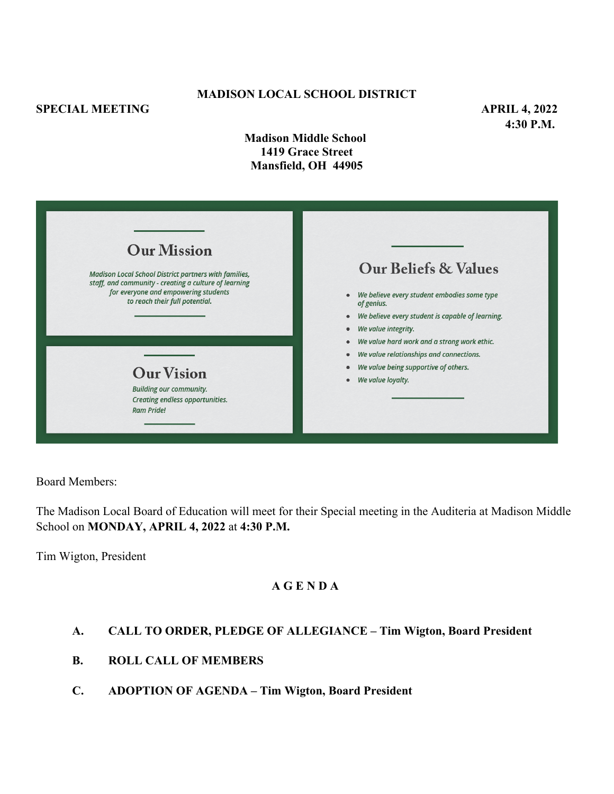## **SPECIAL MEETING APRIL 4, 2022**

## **MADISON LOCAL SCHOOL DISTRICT**

**4:30 P.M.**

**Madison Middle School 1419 Grace Street Mansfield, OH 44905**

| <b>Our Mission</b><br><b>Madison Local School District partners with families,</b><br>staff, and community - creating a culture of learning<br>for everyone and empowering students<br>to reach their full potential. | <b>Our Beliefs &amp; Values</b><br>We believe every student embodies some type<br>$\bullet$<br>of genius.<br>We believe every student is capable of learning.<br>$\bullet$<br>We value integrity.<br>$\bullet$<br>We value hard work and a strong work ethic.<br>$\bullet$<br>We value relationships and connections.<br>$\bullet$<br>We value being supportive of others.<br>é<br>We value loyalty.<br>۰ |
|-----------------------------------------------------------------------------------------------------------------------------------------------------------------------------------------------------------------------|-----------------------------------------------------------------------------------------------------------------------------------------------------------------------------------------------------------------------------------------------------------------------------------------------------------------------------------------------------------------------------------------------------------|
| <b>Our Vision</b><br><b>Building our community.</b><br>Creating endless opportunities.<br><b>Ram Pride!</b>                                                                                                           |                                                                                                                                                                                                                                                                                                                                                                                                           |

Board Members:

The Madison Local Board of Education will meet for their Special meeting in the Auditeria at Madison Middle School on **MONDAY, APRIL 4, 2022** at **4:30 P.M.**

Tim Wigton, President

## **A G E N D A**

# **A. CALL TO ORDER, PLEDGE OF ALLEGIANCE – Tim Wigton, Board President**

- **B. ROLL CALL OF MEMBERS**
- **C. ADOPTION OF AGENDA Tim Wigton, Board President**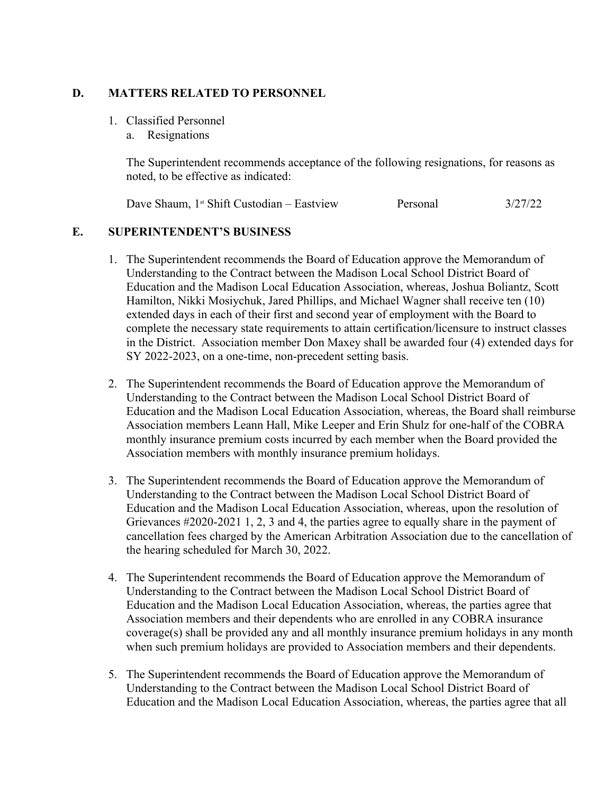#### **D. MATTERS RELATED TO PERSONNEL**

- 1. Classified Personnel
	- a. Resignations

The Superintendent recommends acceptance of the following resignations, for reasons as noted, to be effective as indicated:

Dave Shaum, 1<sup>st</sup> Shift Custodian – Eastview Personal 3/27/22

#### **E. SUPERINTENDENT'S BUSINESS**

- 1. The Superintendent recommends the Board of Education approve the Memorandum of Understanding to the Contract between the Madison Local School District Board of Education and the Madison Local Education Association, whereas, Joshua Boliantz, Scott Hamilton, Nikki Mosiychuk, Jared Phillips, and Michael Wagner shall receive ten (10) extended days in each of their first and second year of employment with the Board to complete the necessary state requirements to attain certification/licensure to instruct classes in the District. Association member Don Maxey shall be awarded four (4) extended days for SY 2022-2023, on a one-time, non-precedent setting basis.
- 2. The Superintendent recommends the Board of Education approve the Memorandum of Understanding to the Contract between the Madison Local School District Board of Education and the Madison Local Education Association, whereas, the Board shall reimburse Association members Leann Hall, Mike Leeper and Erin Shulz for one-half of the COBRA monthly insurance premium costs incurred by each member when the Board provided the Association members with monthly insurance premium holidays.
- 3. The Superintendent recommends the Board of Education approve the Memorandum of Understanding to the Contract between the Madison Local School District Board of Education and the Madison Local Education Association, whereas, upon the resolution of Grievances #2020-2021 1, 2, 3 and 4, the parties agree to equally share in the payment of cancellation fees charged by the American Arbitration Association due to the cancellation of the hearing scheduled for March 30, 2022.
- 4. The Superintendent recommends the Board of Education approve the Memorandum of Understanding to the Contract between the Madison Local School District Board of Education and the Madison Local Education Association, whereas, the parties agree that Association members and their dependents who are enrolled in any COBRA insurance coverage(s) shall be provided any and all monthly insurance premium holidays in any month when such premium holidays are provided to Association members and their dependents.
- 5. The Superintendent recommends the Board of Education approve the Memorandum of Understanding to the Contract between the Madison Local School District Board of Education and the Madison Local Education Association, whereas, the parties agree that all